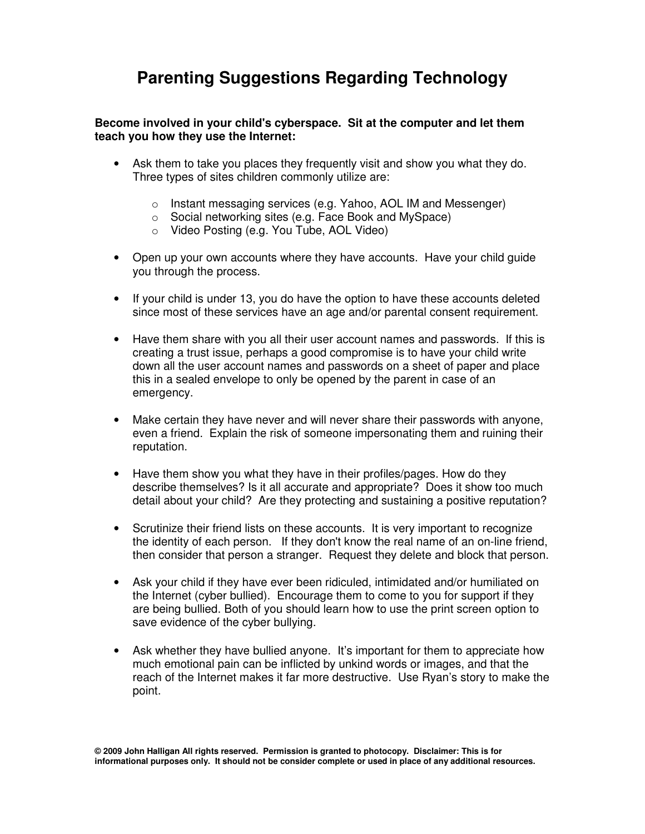## **Parenting Suggestions Regarding Technology**

## **Become involved in your child's cyberspace. Sit at the computer and let them teach you how they use the Internet:**

- Ask them to take you places they frequently visit and show you what they do. Three types of sites children commonly utilize are:
	- o Instant messaging services (e.g. Yahoo, AOL IM and Messenger)
	- o Social networking sites (e.g. Face Book and MySpace)
	- o Video Posting (e.g. You Tube, AOL Video)
- Open up your own accounts where they have accounts. Have your child guide you through the process.
- If your child is under 13, you do have the option to have these accounts deleted since most of these services have an age and/or parental consent requirement.
- Have them share with you all their user account names and passwords. If this is creating a trust issue, perhaps a good compromise is to have your child write down all the user account names and passwords on a sheet of paper and place this in a sealed envelope to only be opened by the parent in case of an emergency.
- Make certain they have never and will never share their passwords with anyone, even a friend. Explain the risk of someone impersonating them and ruining their reputation.
- Have them show you what they have in their profiles/pages. How do they describe themselves? Is it all accurate and appropriate? Does it show too much detail about your child? Are they protecting and sustaining a positive reputation?
- Scrutinize their friend lists on these accounts. It is very important to recognize the identity of each person. If they don't know the real name of an on-line friend, then consider that person a stranger. Request they delete and block that person.
- Ask your child if they have ever been ridiculed, intimidated and/or humiliated on the Internet (cyber bullied). Encourage them to come to you for support if they are being bullied. Both of you should learn how to use the print screen option to save evidence of the cyber bullying.
- Ask whether they have bullied anyone. It's important for them to appreciate how much emotional pain can be inflicted by unkind words or images, and that the reach of the Internet makes it far more destructive. Use Ryan's story to make the point.